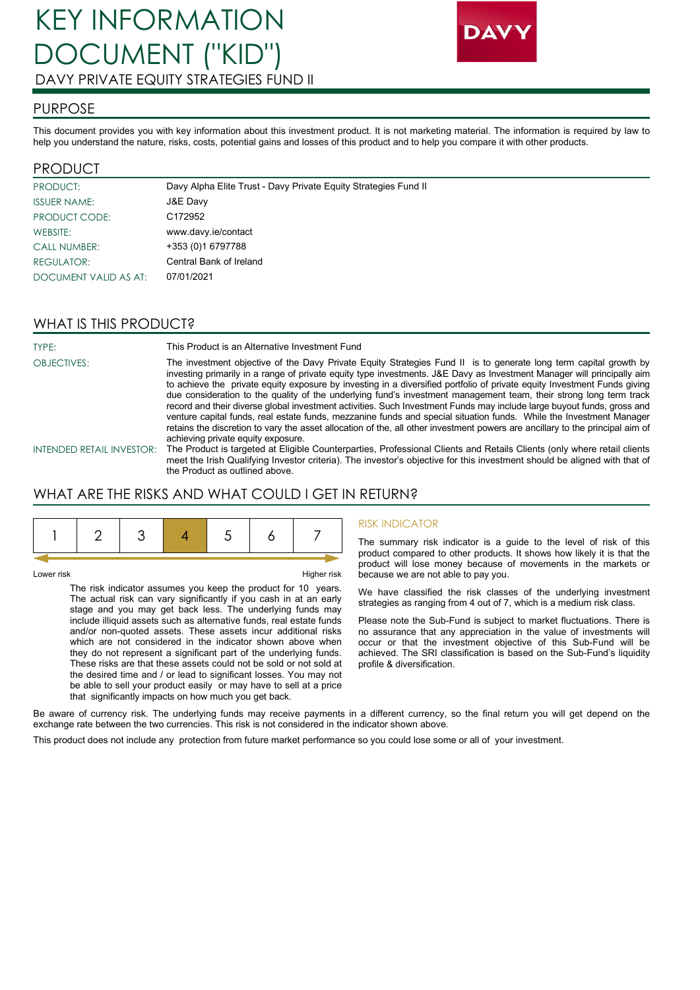

## PURPOSE

This document provides you with key information about this investment product. It is not marketing material. The information is required by law to help you understand the nature, risks, costs, potential gains and losses of this product and to help you compare it with other products.

## PRODUCT

| PRODUCT:              | Davy Alpha Elite Trust - Davy Private Equity Strategies Fund II |
|-----------------------|-----------------------------------------------------------------|
| <b>ISSUER NAME:</b>   | J&E Davy                                                        |
| PRODUCT CODE:         | C <sub>172952</sub>                                             |
| WEBSITE:              | www.davy.ie/contact                                             |
| <b>CALL NUMBER:</b>   | +353 (0)1 6797788                                               |
| REGULATOR:            | Central Bank of Ireland                                         |
| DOCUMENT VALID AS AT: | 07/01/2021                                                      |

# WHAT IS THIS PRODUCT?

| TYPE:                     | This Product is an Alternative Investment Fund                                                                                                                                                                                                                                                                                                                                                                                                                                                                                                                                                                                                                                                                                                 |
|---------------------------|------------------------------------------------------------------------------------------------------------------------------------------------------------------------------------------------------------------------------------------------------------------------------------------------------------------------------------------------------------------------------------------------------------------------------------------------------------------------------------------------------------------------------------------------------------------------------------------------------------------------------------------------------------------------------------------------------------------------------------------------|
| <b>OBJECTIVES:</b>        | The investment objective of the Davy Private Equity Strategies Fund II is to generate long term capital growth by<br>investing primarily in a range of private equity type investments. J&E Davy as Investment Manager will principally aim<br>to achieve the private equity exposure by investing in a diversified portfolio of private equity Investment Funds giving<br>due consideration to the quality of the underlying fund's investment management team, their strong long term track<br>record and their diverse global investment activities. Such Investment Funds may include large buyout funds, gross and<br>venture capital funds, real estate funds, mezzanine funds and special situation funds. While the Investment Manager |
|                           | retains the discretion to vary the asset allocation of the, all other investment powers are ancillary to the principal aim of<br>achieving private equity exposure.                                                                                                                                                                                                                                                                                                                                                                                                                                                                                                                                                                            |
| INTENDED RETAIL INVESTOR: | The Product is targeted at Eligible Counterparties, Professional Clients and Retails Clients (only where retail clients<br>meet the Irish Qualifying Investor criteria). The investor's objective for this investment should be aligned with that of                                                                                                                                                                                                                                                                                                                                                                                                                                                                                           |

# the Product as outlined above. WHAT ARE THE RISKS AND WHAT COULD I GET IN RETURN?

Lower risk **Higher risk** 

The risk indicator assumes you keep the product for 10 years. The actual risk can vary significantly if you cash in at an early stage and you may get back less. The underlying funds may include illiquid assets such as alternative funds, real estate funds and/or non-quoted assets. These assets incur additional risks which are not considered in the indicator shown above when they do not represent a significant part of the underlying funds. These risks are that these assets could not be sold or not sold at the desired time and / or lead to significant losses. You may not be able to sell your product easily or may have to sell at a price that significantly impacts on how much you get back.

#### RISK INDICATOR

The summary risk indicator is a guide to the level of risk of this product compared to other products. It shows how likely it is that the product will lose money because of movements in the markets or because we are not able to pay you.

We have classified the risk classes of the underlying investment strategies as ranging from 4 out of 7, which is a medium risk class.

Please note the Sub-Fund is subject to market fluctuations. There is no assurance that any appreciation in the value of investments will occur or that the investment objective of this Sub-Fund will be achieved. The SRI classification is based on the Sub-Fund's liquidity profile & diversification.

Be aware of currency risk. The underlying funds may receive payments in a different currency, so the final return you will get depend on the exchange rate between the two currencies. This risk is not considered in the indicator shown above.

This product does not include any protection from future market performance so you could lose some or all of your investment.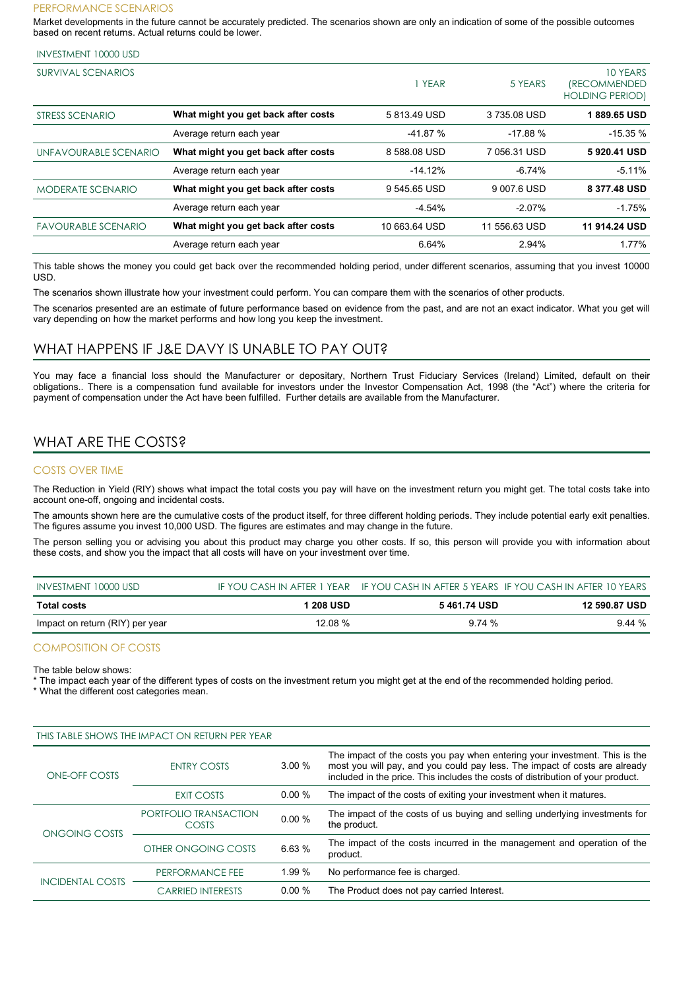#### PERFORMANCE SCENARIOS

Market developments in the future cannot be accurately predicted. The scenarios shown are only an indication of some of the possible outcomes based on recent returns. Actual returns could be lower.

#### INVESTMENT 10000 USD

| SURVIVAL SCENARIOS         |                                     | YEAR          | 5 YEARS       | 10 YEARS<br><i><b>(RECOMMENDED)</b></i><br><b>HOLDING PERIOD)</b> |
|----------------------------|-------------------------------------|---------------|---------------|-------------------------------------------------------------------|
| STRESS SCENARIO            | What might you get back after costs | 5813.49 USD   | 3735.08 USD   | 1889.65 USD                                                       |
|                            | Average return each year            | $-41.87%$     | $-17.88%$     | $-15.35%$                                                         |
| UNFAVOURABLE SCENARIO      | What might you get back after costs | 8 588.08 USD  | 7 056.31 USD  | 5920.41 USD                                                       |
|                            | Average return each year            | $-14.12%$     | $-6.74%$      | $-5.11%$                                                          |
| <b>MODERATE SCENARIO</b>   | What might you get back after costs | 9 545.65 USD  | 9 007.6 USD   | 8 377.48 USD                                                      |
|                            | Average return each year            | $-4.54%$      | $-2.07%$      | $-1.75%$                                                          |
| <b>FAVOURABLE SCENARIO</b> | What might you get back after costs | 10 663.64 USD | 11 556.63 USD | 11 914.24 USD                                                     |
|                            | Average return each year            | 6.64%         | 2.94%         | 1.77%                                                             |

This table shows the money you could get back over the recommended holding period, under different scenarios, assuming that you invest 10000 USD.

The scenarios shown illustrate how your investment could perform. You can compare them with the scenarios of other products.

The scenarios presented are an estimate of future performance based on evidence from the past, and are not an exact indicator. What you get will vary depending on how the market performs and how long you keep the investment.

### WHAT HAPPENS IF J&E DAVY IS UNABLE TO PAY OUT?

You may face a financial loss should the Manufacturer or depositary, Northern Trust Fiduciary Services (Ireland) Limited, default on their obligations.. There is a compensation fund available for investors under the Investor Compensation Act, 1998 (the "Act") where the criteria for payment of compensation under the Act have been fulfilled. Further details are available from the Manufacturer.

## WHAT ARE THE COSTS?

### COSTS OVER TIME

The Reduction in Yield (RIY) shows what impact the total costs you pay will have on the investment return you might get. The total costs take into account one-off, ongoing and incidental costs.

The amounts shown here are the cumulative costs of the product itself, for three different holding periods. They include potential early exit penalties. The figures assume you invest 10,000 USD. The figures are estimates and may change in the future.

The person selling you or advising you about this product may charge you other costs. If so, this person will provide you with information about these costs, and show you the impact that all costs will have on your investment over time.

| INVESTMENT 10000 USD            |           |              | IF YOU CASH IN AFTER 1 YEAR IF YOU CASH IN AFTER 5 YEARS IF YOU CASH IN AFTER 10 YEARS |
|---------------------------------|-----------|--------------|----------------------------------------------------------------------------------------|
| <b>Total costs</b>              | 1 208 USD | 5 461 74 USD | 12 590 87 USD                                                                          |
| Impact on return (RIY) per year | 12.08 %   | 974%         | $9.44 \%$                                                                              |

#### COMPOSITION OF COSTS

The table below shows:

The impact each year of the different types of costs on the investment return you might get at the end of the recommended holding period.

\* What the different cost categories mean.

| THIS TABLE SHOWS THE IMPACT ON RETURN PER YEAR |                                       |          |                                                                                                                                                                                                                                             |
|------------------------------------------------|---------------------------------------|----------|---------------------------------------------------------------------------------------------------------------------------------------------------------------------------------------------------------------------------------------------|
| ONE-OFF COSTS                                  | <b>ENTRY COSTS</b>                    | 3.00%    | The impact of the costs you pay when entering your investment. This is the<br>most you will pay, and you could pay less. The impact of costs are already<br>included in the price. This includes the costs of distribution of your product. |
|                                                | EXIT COSTS                            | $0.00\%$ | The impact of the costs of exiting your investment when it matures.                                                                                                                                                                         |
| ONGOING COSTS                                  | PORTFOLIO TRANSACTION<br><b>COSTS</b> | 0.00%    | The impact of the costs of us buying and selling underlying investments for<br>the product.                                                                                                                                                 |
|                                                | OTHER ONGOING COSTS                   | 6.63%    | The impact of the costs incurred in the management and operation of the<br>product.                                                                                                                                                         |
| <b>INCIDENTAL COSTS</b>                        | PERFORMANCE FEE                       | 1.99%    | No performance fee is charged.                                                                                                                                                                                                              |
|                                                | <b>CARRIED INTERESTS</b>              | $0.00\%$ | The Product does not pay carried Interest.                                                                                                                                                                                                  |